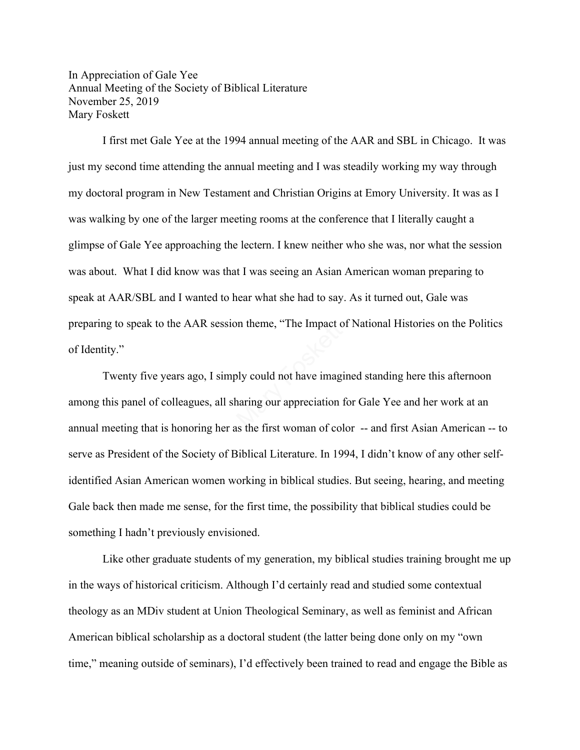In Appreciation of Gale Yee Annual Meeting of the Society of Biblical Literature November 25, 2019 Mary Foskett

I first met Gale Yee at the 1994 annual meeting of the AAR and SBL in Chicago. It was just my second time attending the annual meeting and I was steadily working my way through my doctoral program in New Testament and Christian Origins at Emory University. It was as I was walking by one of the larger meeting rooms at the conference that I literally caught a glimpse of Gale Yee approaching the lectern. I knew neither who she was, nor what the session was about. What I did know was that I was seeing an Asian American woman preparing to speak at AAR/SBL and I wanted to hear what she had to say. As it turned out, Gale was preparing to speak to the AAR session theme, "The Impact of National Histories on the Politics of Identity."

Twenty five years ago, I simply could not have imagined standing here this afternoon among this panel of colleagues, all sharing our appreciation for Gale Yee and her work at an annual meeting that is honoring her as the first woman of color -- and first Asian American -- to serve as President of the Society of Biblical Literature. In 1994, I didn't know of any other selfidentified Asian American women working in biblical studies. But seeing, hearing, and meeting Gale back then made me sense, for the first time, the possibility that biblical studies could be something I hadn't previously envisioned. on theme, "The Impact of<br>the state imaginaring our appreciation is<br>the first woman of colores

Like other graduate students of my generation, my biblical studies training brought me up in the ways of historical criticism. Although I'd certainly read and studied some contextual theology as an MDiv student at Union Theological Seminary, as well as feminist and African American biblical scholarship as a doctoral student (the latter being done only on my "own time," meaning outside of seminars), I'd effectively been trained to read and engage the Bible as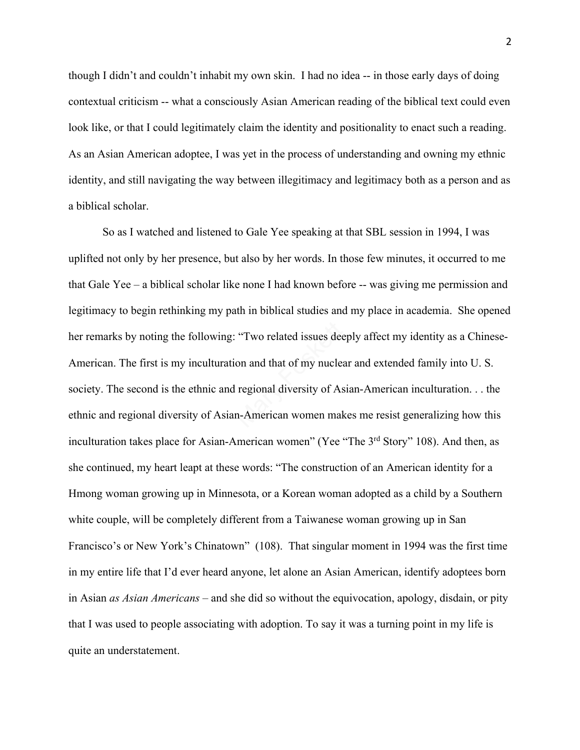though I didn't and couldn't inhabit my own skin. I had no idea -- in those early days of doing contextual criticism -- what a consciously Asian American reading of the biblical text could even look like, or that I could legitimately claim the identity and positionality to enact such a reading. As an Asian American adoptee, I was yet in the process of understanding and owning my ethnic identity, and still navigating the way between illegitimacy and legitimacy both as a person and as a biblical scholar.

So as I watched and listened to Gale Yee speaking at that SBL session in 1994, I was uplifted not only by her presence, but also by her words. In those few minutes, it occurred to me that Gale Yee – a biblical scholar like none I had known before -- was giving me permission and legitimacy to begin rethinking my path in biblical studies and my place in academia. She opened her remarks by noting the following: "Two related issues deeply affect my identity as a Chinese-American. The first is my inculturation and that of my nuclear and extended family into U. S. society. The second is the ethnic and regional diversity of Asian-American inculturation. . . the ethnic and regional diversity of Asian-American women makes me resist generalizing how this inculturation takes place for Asian-American women" (Yee "The 3<sup>rd</sup> Story" 108). And then, as she continued, my heart leapt at these words: "The construction of an American identity for a Hmong woman growing up in Minnesota, or a Korean woman adopted as a child by a Southern white couple, will be completely different from a Taiwanese woman growing up in San Francisco's or New York's Chinatown" (108). That singular moment in 1994 was the first time in my entire life that I'd ever heard anyone, let alone an Asian American, identify adoptees born in Asian *as Asian Americans* – and she did so without the equivocation, apology, disdain, or pity that I was used to people associating with adoption. To say it was a turning point in my life is quite an understatement. "Two related issues dee<br>on and that of my nuclear<br>regional diversity of As<br>n-American women mak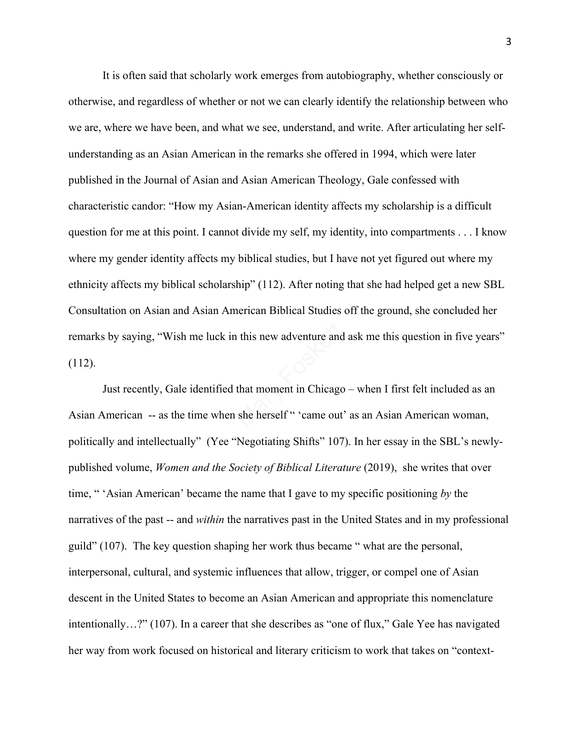It is often said that scholarly work emerges from autobiography, whether consciously or otherwise, and regardless of whether or not we can clearly identify the relationship between who we are, where we have been, and what we see, understand, and write. After articulating her selfunderstanding as an Asian American in the remarks she offered in 1994, which were later published in the Journal of Asian and Asian American Theology, Gale confessed with characteristic candor: "How my Asian-American identity affects my scholarship is a difficult question for me at this point. I cannot divide my self, my identity, into compartments . . . I know where my gender identity affects my biblical studies, but I have not yet figured out where my ethnicity affects my biblical scholarship" (112). After noting that she had helped get a new SBL Consultation on Asian and Asian American Biblical Studies off the ground, she concluded her remarks by saying, "Wish me luck in this new adventure and ask me this question in five years" (112). remarks by saying, "Wish me luck in this new adventure and ask me this question in five yea<br>
(112).<br>
Just recently, Gale identified that moment in Chicago – when I first felt included as an<br>
Asian American -- as the time w

Just recently, Gale identified that moment in Chicago – when I first felt included as an politically and intellectually" (Yee "Negotiating Shifts" 107). In her essay in the SBL's newlypublished volume, *Women and the Society of Biblical Literature* (2019), she writes that over time, " 'Asian American' became the name that I gave to my specific positioning *by* the narratives of the past -- and *within* the narratives past in the United States and in my professional guild" (107). The key question shaping her work thus became " what are the personal, interpersonal, cultural, and systemic influences that allow, trigger, or compel one of Asian descent in the United States to become an Asian American and appropriate this nomenclature intentionally…?" (107). In a career that she describes as "one of flux," Gale Yee has navigated her way from work focused on historical and literary criticism to work that takes on "context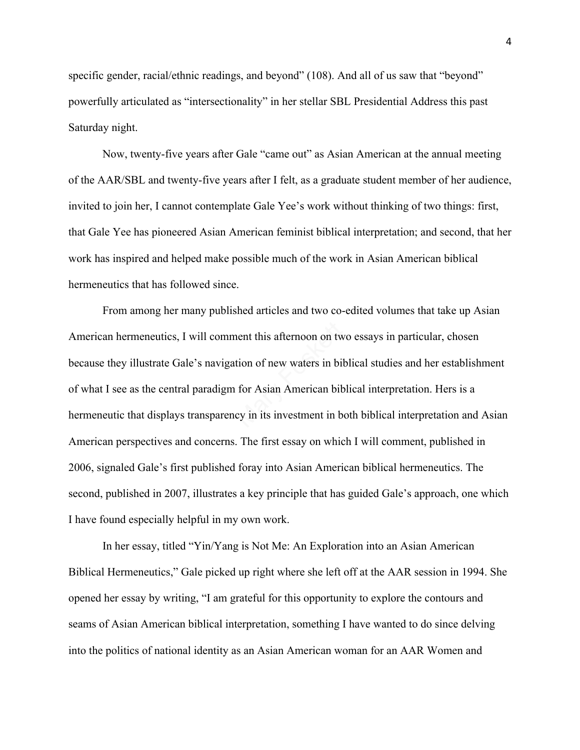specific gender, racial/ethnic readings, and beyond" (108). And all of us saw that "beyond" powerfully articulated as "intersectionality" in her stellar SBL Presidential Address this past Saturday night.

Now, twenty-five years after Gale "came out" as Asian American at the annual meeting of the AAR/SBL and twenty-five years after I felt, as a graduate student member of her audience, invited to join her, I cannot contemplate Gale Yee's work without thinking of two things: first, that Gale Yee has pioneered Asian American feminist biblical interpretation; and second, that her work has inspired and helped make possible much of the work in Asian American biblical hermeneutics that has followed since.

From among her many published articles and two co-edited volumes that take up Asian American hermeneutics, I will comment this afternoon on two essays in particular, chosen because they illustrate Gale's navigation of new waters in biblical studies and her establishment of what I see as the central paradigm for Asian American biblical interpretation. Hers is a hermeneutic that displays transparency in its investment in both biblical interpretation and Asian American perspectives and concerns. The first essay on which I will comment, published in 2006, signaled Gale's first published foray into Asian American biblical hermeneutics. The second, published in 2007, illustrates a key principle that has guided Gale's approach, one which I have found especially helpful in my own work. nent this afternoon on two<br>tion of new waters in bil<br>for Asian American bil<br>cy in its investment in b

 In her essay, titled "Yin/Yang is Not Me: An Exploration into an Asian American Biblical Hermeneutics," Gale picked up right where she left off at the AAR session in 1994. She opened her essay by writing, "I am grateful for this opportunity to explore the contours and seams of Asian American biblical interpretation, something I have wanted to do since delving into the politics of national identity as an Asian American woman for an AAR Women and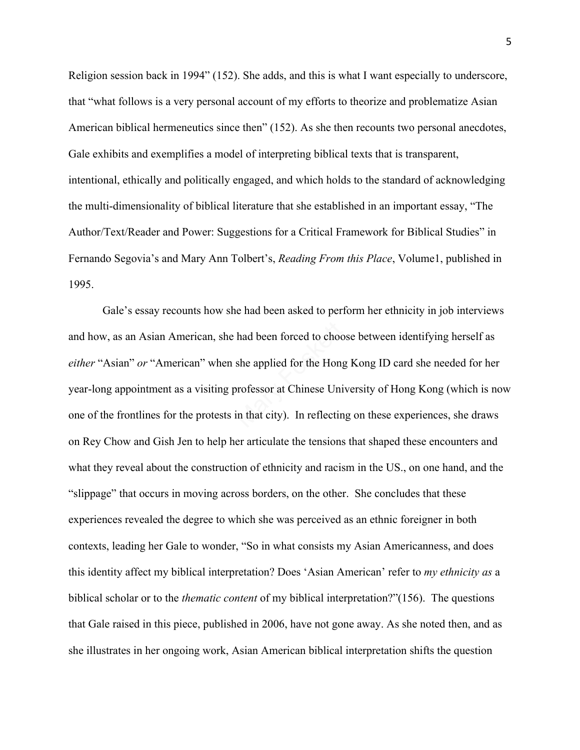Religion session back in 1994" (152). She adds, and this is what I want especially to underscore, that "what follows is a very personal account of my efforts to theorize and problematize Asian American biblical hermeneutics since then" (152). As she then recounts two personal anecdotes, Gale exhibits and exemplifies a model of interpreting biblical texts that is transparent, intentional, ethically and politically engaged, and which holds to the standard of acknowledging the multi-dimensionality of biblical literature that she established in an important essay, "The Author/Text/Reader and Power: Suggestions for a Critical Framework for Biblical Studies" in Fernando Segovia's and Mary Ann Tolbert's, *Reading From this Place*, Volume1, published in 1995.

 Gale's essay recounts how she had been asked to perform her ethnicity in job interviews and how, as an Asian American, she had been forced to choose between identifying herself as *either* "Asian" *or* "American" when she applied for the Hong Kong ID card she needed for her year-long appointment as a visiting professor at Chinese University of Hong Kong (which is now one of the frontlines for the protests in that city). In reflecting on these experiences, she draws on Rey Chow and Gish Jen to help her articulate the tensions that shaped these encounters and what they reveal about the construction of ethnicity and racism in the US., on one hand, and the "slippage" that occurs in moving across borders, on the other. She concludes that these experiences revealed the degree to which she was perceived as an ethnic foreigner in both contexts, leading her Gale to wonder, "So in what consists my Asian Americanness, and does this identity affect my biblical interpretation? Does 'Asian American' refer to *my ethnicity as* a biblical scholar or to the *thematic content* of my biblical interpretation?"(156). The questions that Gale raised in this piece, published in 2006, have not gone away. As she noted then, and as she illustrates in her ongoing work, Asian American biblical interpretation shifts the question had been forced to choos<br>she applied for the Hong<br>professor at Chinese Uni<br>in that city). In reflectin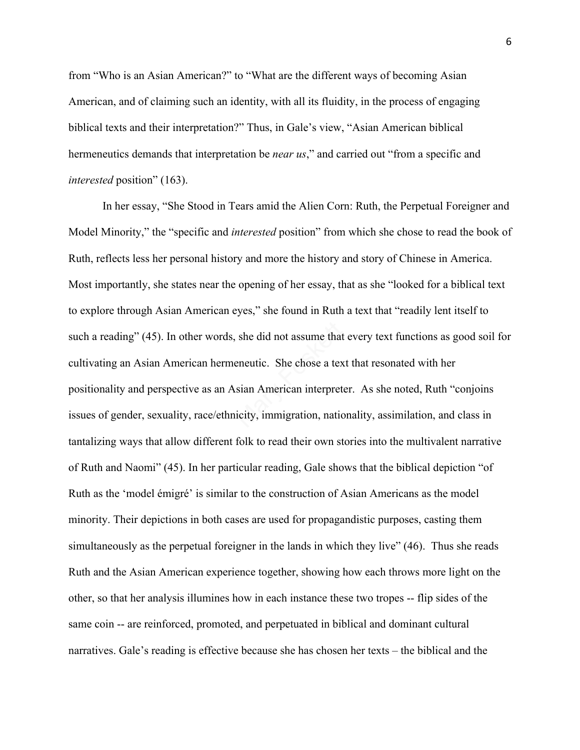from "Who is an Asian American?" to "What are the different ways of becoming Asian American, and of claiming such an identity, with all its fluidity, in the process of engaging biblical texts and their interpretation?" Thus, in Gale's view, "Asian American biblical hermeneutics demands that interpretation be *near us*," and carried out "from a specific and *interested* position" (163).

 In her essay, "She Stood in Tears amid the Alien Corn: Ruth, the Perpetual Foreigner and Model Minority," the "specific and *interested* position" from which she chose to read the book of Ruth, reflects less her personal history and more the history and story of Chinese in America. Most importantly, she states near the opening of her essay, that as she "looked for a biblical text to explore through Asian American eyes," she found in Ruth a text that "readily lent itself to such a reading" (45). In other words, she did not assume that every text functions as good soil for cultivating an Asian American hermeneutic. She chose a text that resonated with her positionality and perspective as an Asian American interpreter. As she noted, Ruth "conjoins issues of gender, sexuality, race/ethnicity, immigration, nationality, assimilation, and class in tantalizing ways that allow different folk to read their own stories into the multivalent narrative of Ruth and Naomi" (45). In her particular reading, Gale shows that the biblical depiction "of Ruth as the 'model émigré' is similar to the construction of Asian Americans as the model minority. Their depictions in both cases are used for propagandistic purposes, casting them simultaneously as the perpetual foreigner in the lands in which they live" (46). Thus she reads Ruth and the Asian American experience together, showing how each throws more light on the other, so that her analysis illumines how in each instance these two tropes -- flip sides of the same coin -- are reinforced, promoted, and perpetuated in biblical and dominant cultural narratives. Gale's reading is effective because she has chosen her texts – the biblical and the she did not assume that<br>eneutic. She chose a tex<br>sian American interpret<br>icity, immigration, nation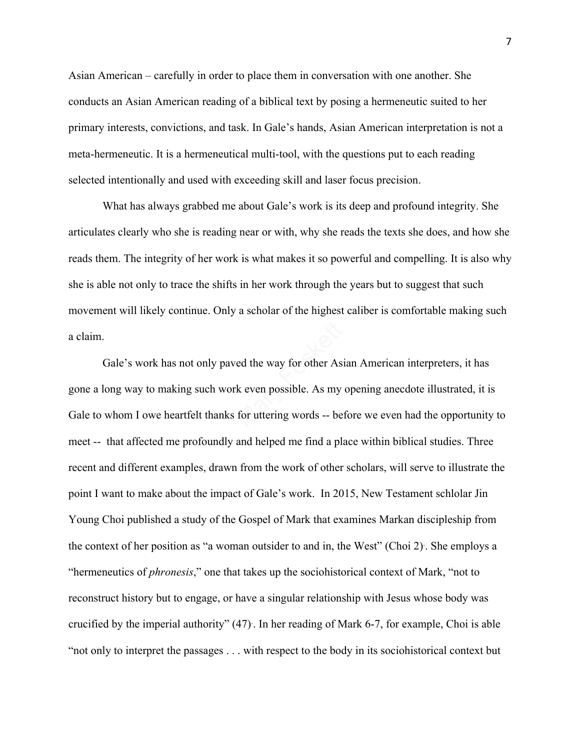Asian American – carefully in order to place them in conversation with one another. She conducts an Asian American reading of a biblical text by posing a hermeneutic suited to her primary interests, convictions, and task. In Gale's hands, Asian American interpretation is not a meta-hermeneutic. It is a hermeneutical multi-tool, with the questions put to each reading selected intentionally and used with exceeding skill and laser focus precision.

What has always grabbed me about Gale's work is its deep and profound integrity. She articulates clearly who she is reading near or with, why she reads the texts she does, and how she reads them. The integrity of her work is what makes it so powerful and compelling. It is also why she is able not only to trace the shifts in her work through the years but to suggest that such movement will likely continue. Only a scholar of the highest caliber is comfortable making such a claim.

Gale's work has not only paved the way for other Asian American interpreters, it has gone a long way to making such work even possible. As my opening anecdote illustrated, it is Gale to whom I owe heartfelt thanks for uttering words -- before we even had the opportunity to meet -- that affected me profoundly and helped me find a place within biblical studies. Three recent and different examples, drawn from the work of other scholars, will serve to illustrate the point I want to make about the impact of Gale's work. In 2015, New Testament schlolar Jin Young Choi published a study of the Gospel of Mark that examines Markan discipleship from the context of her position as "a woman outsider to and in, the West" (Choi 2). . She employs a "hermeneutics of *phronesis*," one that takes up the sociohistorical context of Mark, "not to reconstruct history but to engage, or have a singular relationship with Jesus whose body was crucified by the imperial authority" (47). . In her reading of Mark 6-7, for example, Choi is able "not only to interpret the passages . . . with respect to the body in its sociohistorical context but ed the way for other As:<br>
k even possible. As my<br>
for uttering words -- be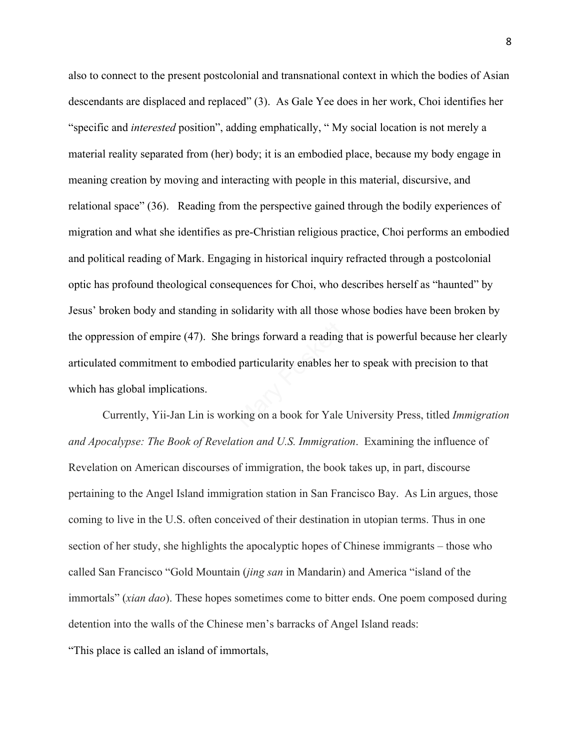also to connect to the present postcolonial and transnational context in which the bodies of Asian descendants are displaced and replaced" (3). As Gale Yee does in her work, Choi identifies her "specific and *interested* position", adding emphatically, " My social location is not merely a material reality separated from (her) body; it is an embodied place, because my body engage in meaning creation by moving and interacting with people in this material, discursive, and relational space" (36). Reading from the perspective gained through the bodily experiences of migration and what she identifies as pre-Christian religious practice, Choi performs an embodied and political reading of Mark. Engaging in historical inquiry refracted through a postcolonial optic has profound theological consequences for Choi, who describes herself as "haunted" by Jesus' broken body and standing in solidarity with all those whose bodies have been broken by the oppression of empire (47). She brings forward a reading that is powerful because her clearly articulated commitment to embodied particularity enables her to speak with precision to that which has global implications. rings forward a reading<br>particularity enables he<br>king on a book for Yale

Currently, Yii-Jan Lin is working on a book for Yale University Press, titled *Immigration and Apocalypse: The Book of Revelation and U.S. Immigration*. Examining the influence of Revelation on American discourses of immigration, the book takes up, in part, discourse pertaining to the Angel Island immigration station in San Francisco Bay. As Lin argues, those coming to live in the U.S. often conceived of their destination in utopian terms. Thus in one section of her study, she highlights the apocalyptic hopes of Chinese immigrants – those who called San Francisco "Gold Mountain (*jing san* in Mandarin) and America "island of the immortals" (*xian dao*). These hopes sometimes come to bitter ends. One poem composed during detention into the walls of the Chinese men's barracks of Angel Island reads: "This place is called an island of immortals,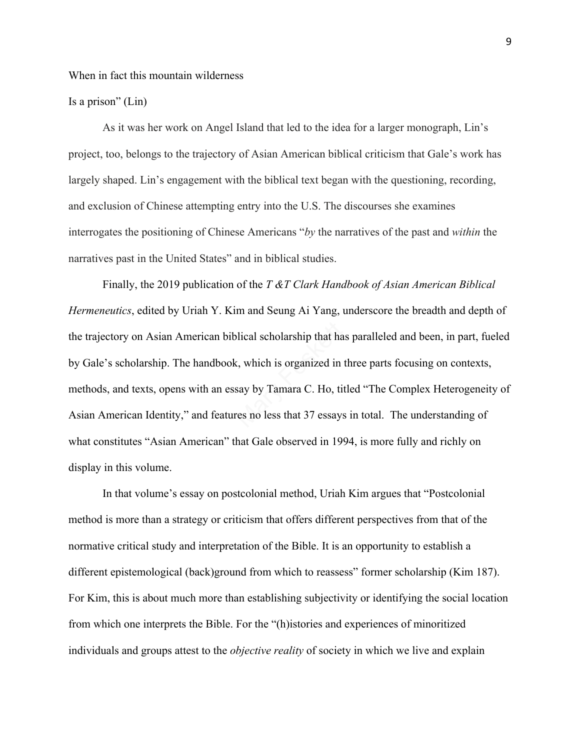## When in fact this mountain wilderness

## Is a prison" (Lin)

 As it was her work on Angel Island that led to the idea for a larger monograph, Lin's project, too, belongs to the trajectory of Asian American biblical criticism that Gale's work has largely shaped. Lin's engagement with the biblical text began with the questioning, recording, and exclusion of Chinese attempting entry into the U.S. The discourses she examines interrogates the positioning of Chinese Americans "*by* the narratives of the past and *within* the narratives past in the United States" and in biblical studies.

Finally, the 2019 publication of the *T &T Clark Handbook of Asian American Biblical Hermeneutics*, edited by Uriah Y. Kim and Seung Ai Yang, underscore the breadth and depth of the trajectory on Asian American biblical scholarship that has paralleled and been, in part, fueled by Gale's scholarship. The handbook, which is organized in three parts focusing on contexts, methods, and texts, opens with an essay by Tamara C. Ho, titled "The Complex Heterogeneity of Asian American Identity," and features no less that 37 essays in total. The understanding of what constitutes "Asian American" that Gale observed in 1994, is more fully and richly on display in this volume. olical scholarship that hat<br>i, which is organized in<br>say by Tamara C. Ho, tives no less that 37 essays

In that volume's essay on postcolonial method, Uriah Kim argues that "Postcolonial method is more than a strategy or criticism that offers different perspectives from that of the normative critical study and interpretation of the Bible. It is an opportunity to establish a different epistemological (back)ground from which to reassess" former scholarship (Kim 187). For Kim, this is about much more than establishing subjectivity or identifying the social location from which one interprets the Bible. For the "(h)istories and experiences of minoritized individuals and groups attest to the *objective reality* of society in which we live and explain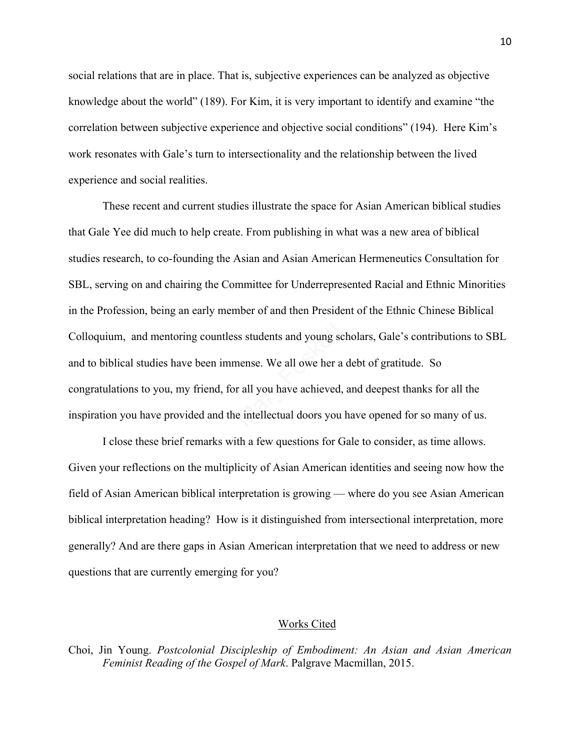social relations that are in place. That is, subjective experiences can be analyzed as objective knowledge about the world" (189). For Kim, it is very important to identify and examine "the correlation between subjective experience and objective social conditions" (194). Here Kim's work resonates with Gale's turn to intersectionality and the relationship between the lived experience and social realities.

 These recent and current studies illustrate the space for Asian American biblical studies that Gale Yee did much to help create. From publishing in what was a new area of biblical studies research, to co-founding the Asian and Asian American Hermeneutics Consultation for SBL, serving on and chairing the Committee for Underrepresented Racial and Ethnic Minorities in the Profession, being an early member of and then President of the Ethnic Chinese Biblical Colloquium, and mentoring countless students and young scholars, Gale's contributions to SBL and to biblical studies have been immense. We all owe her a debt of gratitude. So congratulations to you, my friend, for all you have achieved, and deepest thanks for all the inspiration you have provided and the intellectual doors you have opened for so many of us. ss students and young sc<br>nense. We all owe her a<br>r all you have achieved,<br>e intellectual doors you

I close these brief remarks with a few questions for Gale to consider, as time allows. Given your reflections on the multiplicity of Asian American identities and seeing now how the field of Asian American biblical interpretation is growing — where do you see Asian American biblical interpretation heading? How is it distinguished from intersectional interpretation, more generally? And are there gaps in Asian American interpretation that we need to address or new questions that are currently emerging for you?

## Works Cited

Choi, Jin Young. *Postcolonial Discipleship of Embodiment: An Asian and Asian American Feminist Reading of the Gospel of Mark*. Palgrave Macmillan, 2015.